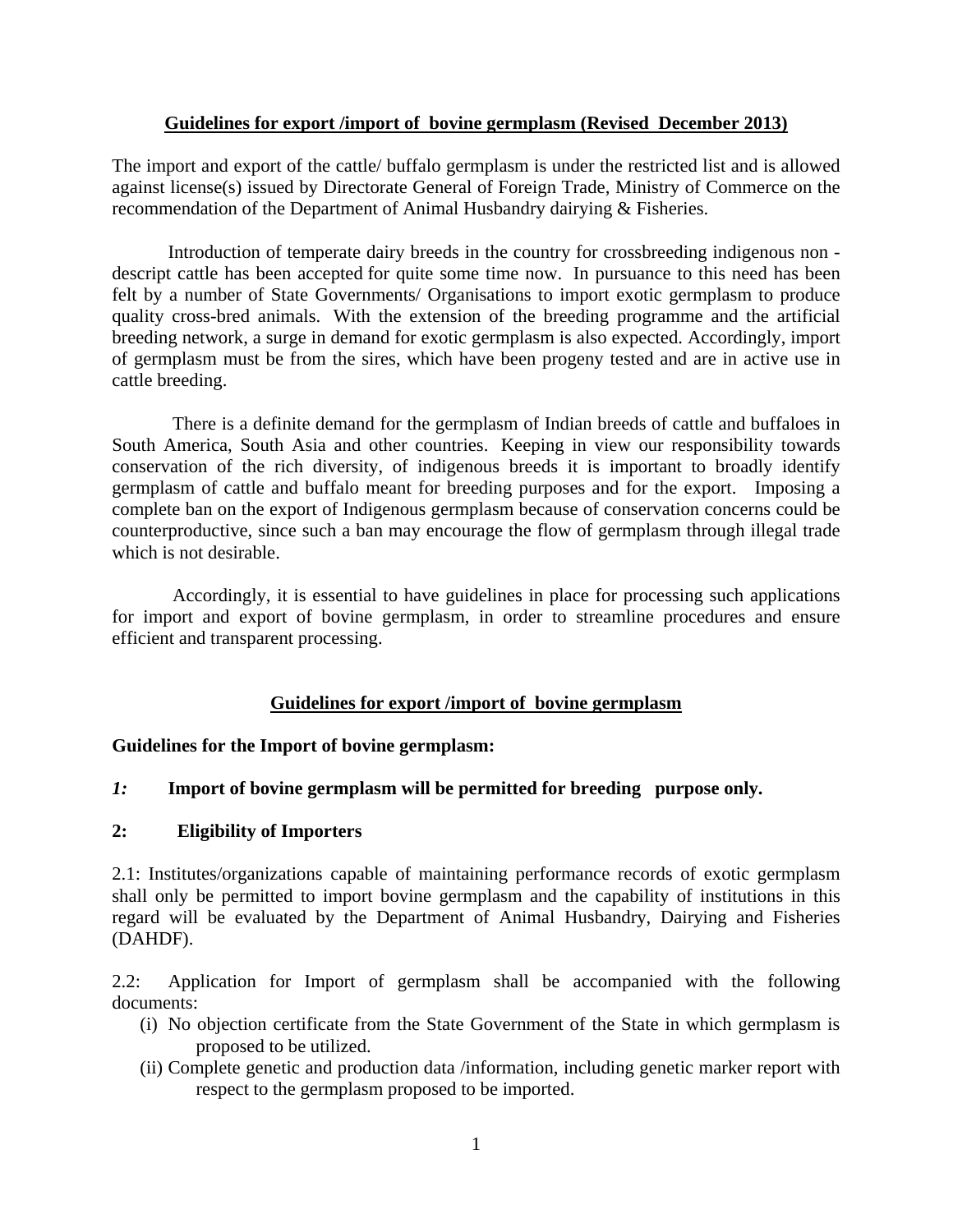#### **Guidelines for export /import of bovine germplasm (Revised December 2013)**

The import and export of the cattle/ buffalo germplasm is under the restricted list and is allowed against license(s) issued by Directorate General of Foreign Trade, Ministry of Commerce on the recommendation of the Department of Animal Husbandry dairying & Fisheries.

Introduction of temperate dairy breeds in the country for crossbreeding indigenous non descript cattle has been accepted for quite some time now. In pursuance to this need has been felt by a number of State Governments/ Organisations to import exotic germplasm to produce quality cross-bred animals. With the extension of the breeding programme and the artificial breeding network, a surge in demand for exotic germplasm is also expected. Accordingly, import of germplasm must be from the sires, which have been progeny tested and are in active use in cattle breeding.

 There is a definite demand for the germplasm of Indian breeds of cattle and buffaloes in South America, South Asia and other countries. Keeping in view our responsibility towards conservation of the rich diversity, of indigenous breeds it is important to broadly identify germplasm of cattle and buffalo meant for breeding purposes and for the export. Imposing a complete ban on the export of Indigenous germplasm because of conservation concerns could be counterproductive, since such a ban may encourage the flow of germplasm through illegal trade which is not desirable.

 Accordingly, it is essential to have guidelines in place for processing such applications for import and export of bovine germplasm, in order to streamline procedures and ensure efficient and transparent processing.

## **Guidelines for export /import of bovine germplasm**

## **Guidelines for the Import of bovine germplasm:**

## *1:* **Import of bovine germplasm will be permitted for breeding purpose only.**

#### **2: Eligibility of Importers**

2.1: Institutes/organizations capable of maintaining performance records of exotic germplasm shall only be permitted to import bovine germplasm and the capability of institutions in this regard will be evaluated by the Department of Animal Husbandry, Dairying and Fisheries (DAHDF).

2.2: Application for Import of germplasm shall be accompanied with the following documents:

- (i) No objection certificate from the State Government of the State in which germplasm is proposed to be utilized.
- (ii) Complete genetic and production data /information, including genetic marker report with respect to the germplasm proposed to be imported.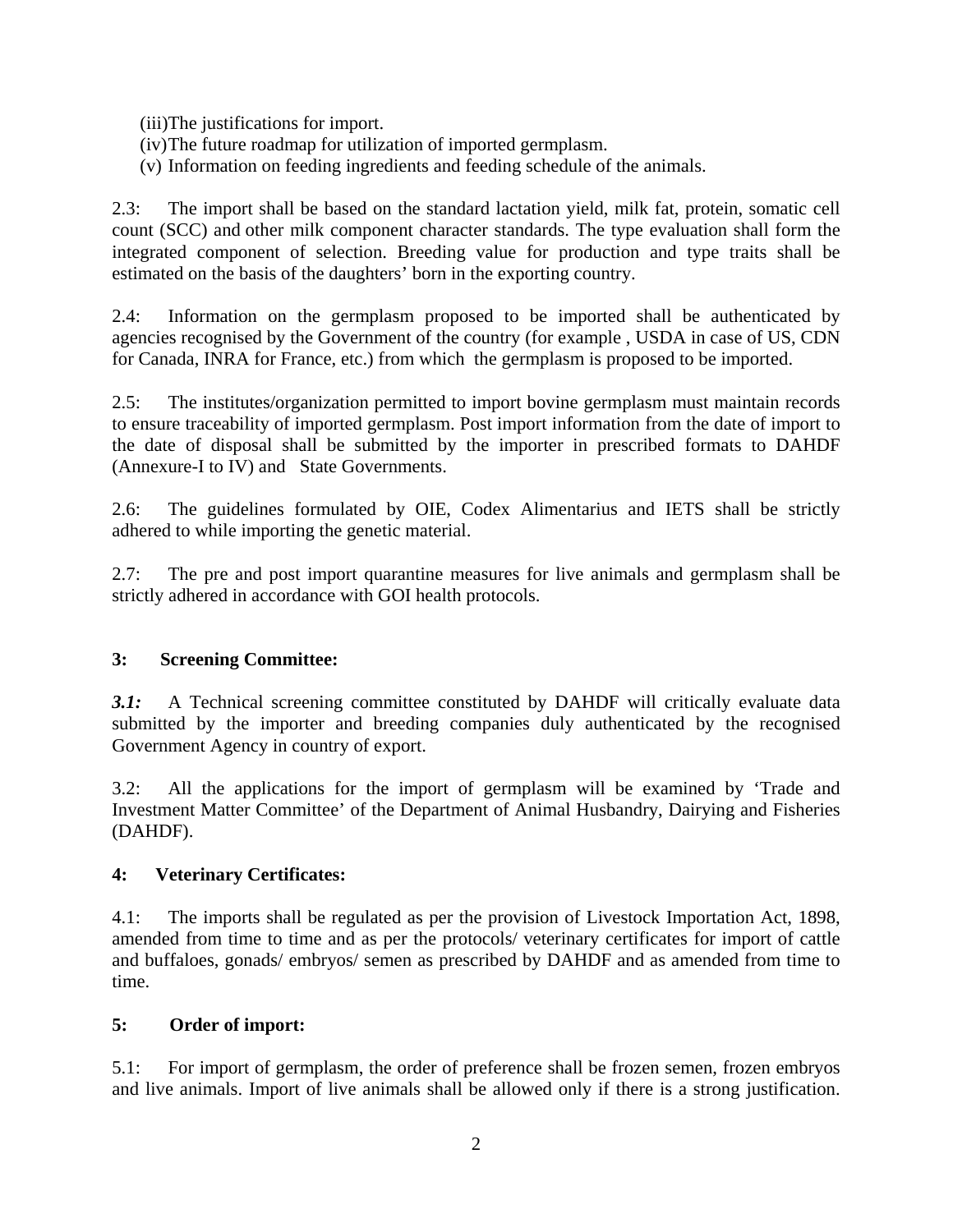(iii)The justifications for import.

- (iv)The future roadmap for utilization of imported germplasm.
- (v) Information on feeding ingredients and feeding schedule of the animals.

2.3: The import shall be based on the standard lactation yield, milk fat, protein, somatic cell count (SCC) and other milk component character standards. The type evaluation shall form the integrated component of selection. Breeding value for production and type traits shall be estimated on the basis of the daughters' born in the exporting country.

2.4: Information on the germplasm proposed to be imported shall be authenticated by agencies recognised by the Government of the country (for example , USDA in case of US, CDN for Canada, INRA for France, etc.) from which the germplasm is proposed to be imported.

2.5: The institutes/organization permitted to import bovine germplasm must maintain records to ensure traceability of imported germplasm. Post import information from the date of import to the date of disposal shall be submitted by the importer in prescribed formats to DAHDF (Annexure-I to IV) and State Governments.

2.6: The guidelines formulated by OIE, Codex Alimentarius and IETS shall be strictly adhered to while importing the genetic material.

2.7: The pre and post import quarantine measures for live animals and germplasm shall be strictly adhered in accordance with GOI health protocols.

# **3: Screening Committee:**

*3.1:* A Technical screening committee constituted by DAHDF will critically evaluate data submitted by the importer and breeding companies duly authenticated by the recognised Government Agency in country of export.

3.2: All the applications for the import of germplasm will be examined by 'Trade and Investment Matter Committee' of the Department of Animal Husbandry, Dairying and Fisheries (DAHDF).

## **4: Veterinary Certificates:**

4.1: The imports shall be regulated as per the provision of Livestock Importation Act, 1898, amended from time to time and as per the protocols/ veterinary certificates for import of cattle and buffaloes, gonads/ embryos/ semen as prescribed by DAHDF and as amended from time to time.

## **5: Order of import:**

5.1: For import of germplasm, the order of preference shall be frozen semen, frozen embryos and live animals. Import of live animals shall be allowed only if there is a strong justification.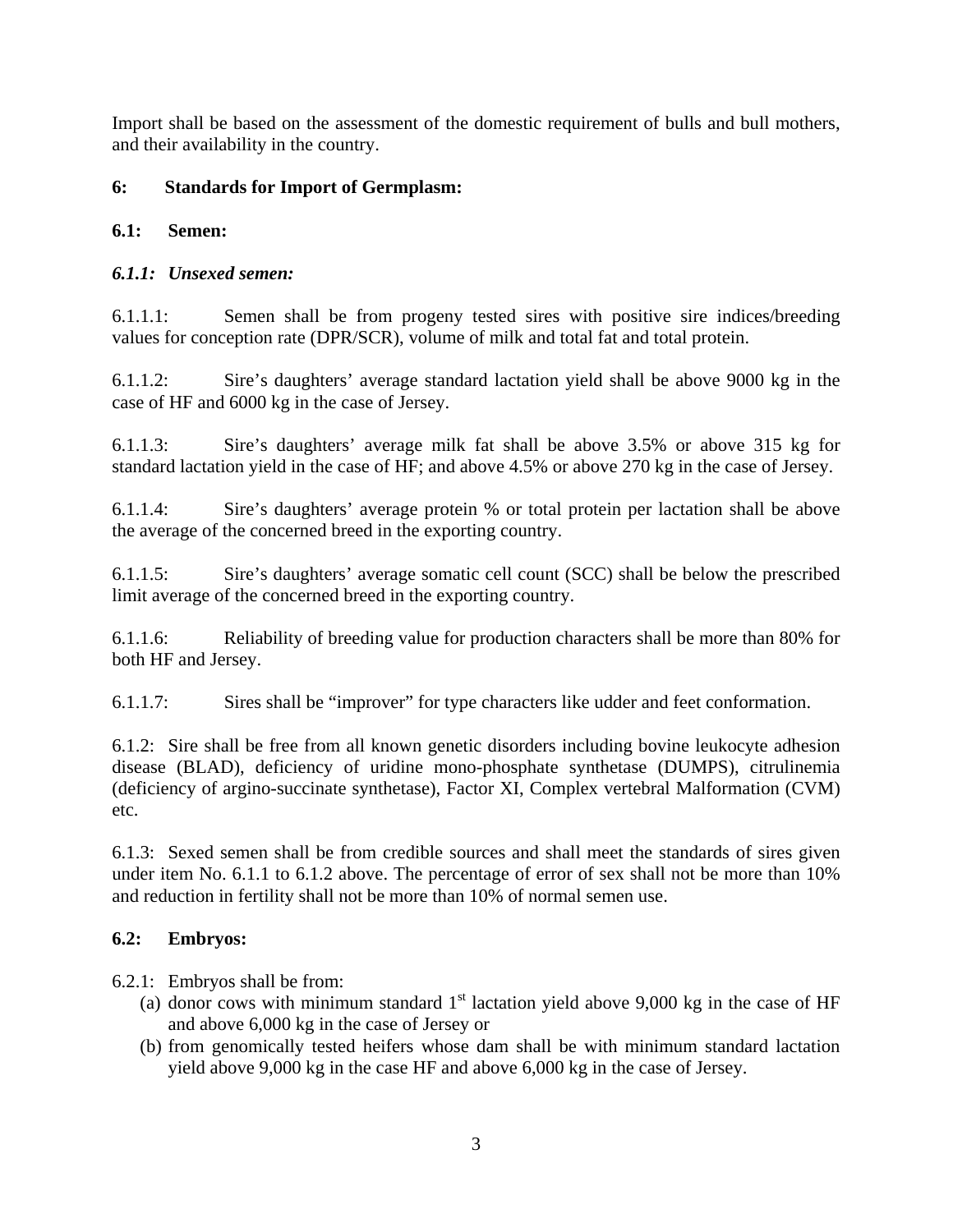Import shall be based on the assessment of the domestic requirement of bulls and bull mothers, and their availability in the country.

## **6: Standards for Import of Germplasm:**

## **6.1: Semen:**

## *6.1.1: Unsexed semen:*

6.1.1.1: Semen shall be from progeny tested sires with positive sire indices/breeding values for conception rate (DPR/SCR), volume of milk and total fat and total protein.

6.1.1.2: Sire's daughters' average standard lactation yield shall be above 9000 kg in the case of HF and 6000 kg in the case of Jersey.

6.1.1.3: Sire's daughters' average milk fat shall be above 3.5% or above 315 kg for standard lactation yield in the case of HF; and above 4.5% or above 270 kg in the case of Jersey.

6.1.1.4: Sire's daughters' average protein % or total protein per lactation shall be above the average of the concerned breed in the exporting country.

6.1.1.5: Sire's daughters' average somatic cell count (SCC) shall be below the prescribed limit average of the concerned breed in the exporting country.

6.1.1.6: Reliability of breeding value for production characters shall be more than 80% for both HF and Jersey.

6.1.1.7: Sires shall be "improver" for type characters like udder and feet conformation.

6.1.2: Sire shall be free from all known genetic disorders including bovine leukocyte adhesion disease (BLAD), deficiency of uridine mono-phosphate synthetase (DUMPS), citrulinemia (deficiency of argino-succinate synthetase), Factor XI, Complex vertebral Malformation (CVM) etc.

6.1.3: Sexed semen shall be from credible sources and shall meet the standards of sires given under item No. 6.1.1 to 6.1.2 above. The percentage of error of sex shall not be more than 10% and reduction in fertility shall not be more than 10% of normal semen use.

## **6.2: Embryos:**

6.2.1: Embryos shall be from:

- (a) donor cows with minimum standard  $1<sup>st</sup>$  lactation yield above 9,000 kg in the case of HF and above 6,000 kg in the case of Jersey or
- (b) from genomically tested heifers whose dam shall be with minimum standard lactation yield above 9,000 kg in the case HF and above 6,000 kg in the case of Jersey.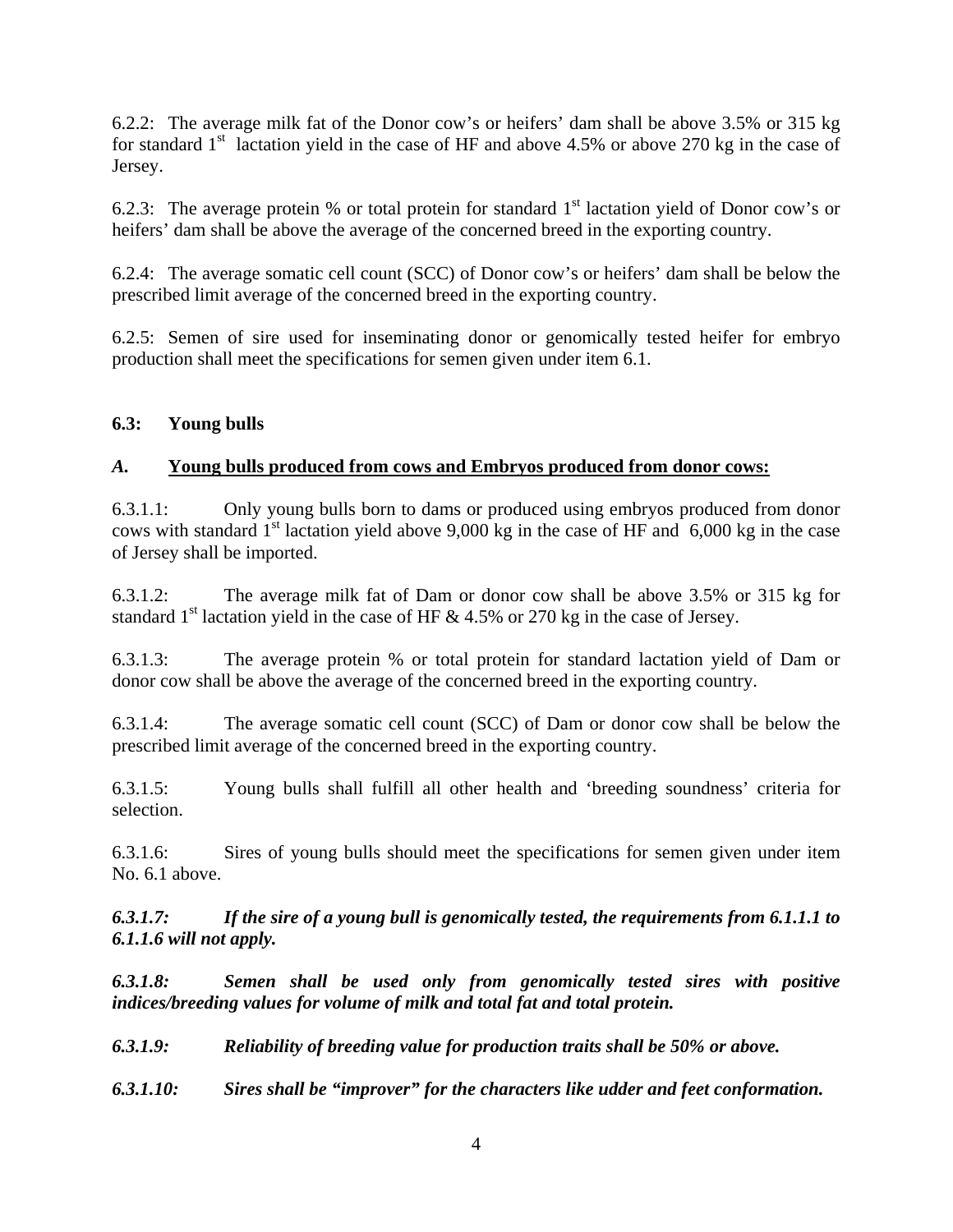6.2.2: The average milk fat of the Donor cow's or heifers' dam shall be above 3.5% or 315 kg for standard  $1<sup>st</sup>$  lactation yield in the case of HF and above 4.5% or above 270 kg in the case of Jersey.

6.2.3: The average protein % or total protein for standard  $1<sup>st</sup>$  lactation yield of Donor cow's or heifers' dam shall be above the average of the concerned breed in the exporting country.

6.2.4: The average somatic cell count (SCC) of Donor cow's or heifers' dam shall be below the prescribed limit average of the concerned breed in the exporting country.

6.2.5: Semen of sire used for inseminating donor or genomically tested heifer for embryo production shall meet the specifications for semen given under item 6.1.

## **6.3: Young bulls**

## *A.* **Young bulls produced from cows and Embryos produced from donor cows:**

6.3.1.1: Only young bulls born to dams or produced using embryos produced from donor cows with standard  $1<sup>st</sup>$  lactation yield above 9,000 kg in the case of HF and 6,000 kg in the case of Jersey shall be imported.

6.3.1.2: The average milk fat of Dam or donor cow shall be above 3.5% or 315 kg for standard  $1<sup>st</sup>$  lactation yield in the case of HF & 4.5% or 270 kg in the case of Jersey.

6.3.1.3: The average protein % or total protein for standard lactation yield of Dam or donor cow shall be above the average of the concerned breed in the exporting country.

6.3.1.4: The average somatic cell count (SCC) of Dam or donor cow shall be below the prescribed limit average of the concerned breed in the exporting country.

6.3.1.5: Young bulls shall fulfill all other health and 'breeding soundness' criteria for selection.

6.3.1.6: Sires of young bulls should meet the specifications for semen given under item No. 6.1 above.

*6.3.1.7: If the sire of a young bull is genomically tested, the requirements from 6.1.1.1 to 6.1.1.6 will not apply.* 

*6.3.1.8: Semen shall be used only from genomically tested sires with positive indices/breeding values for volume of milk and total fat and total protein.* 

*6.3.1.9: Reliability of breeding value for production traits shall be 50% or above.* 

*6.3.1.10: Sires shall be "improver" for the characters like udder and feet conformation.*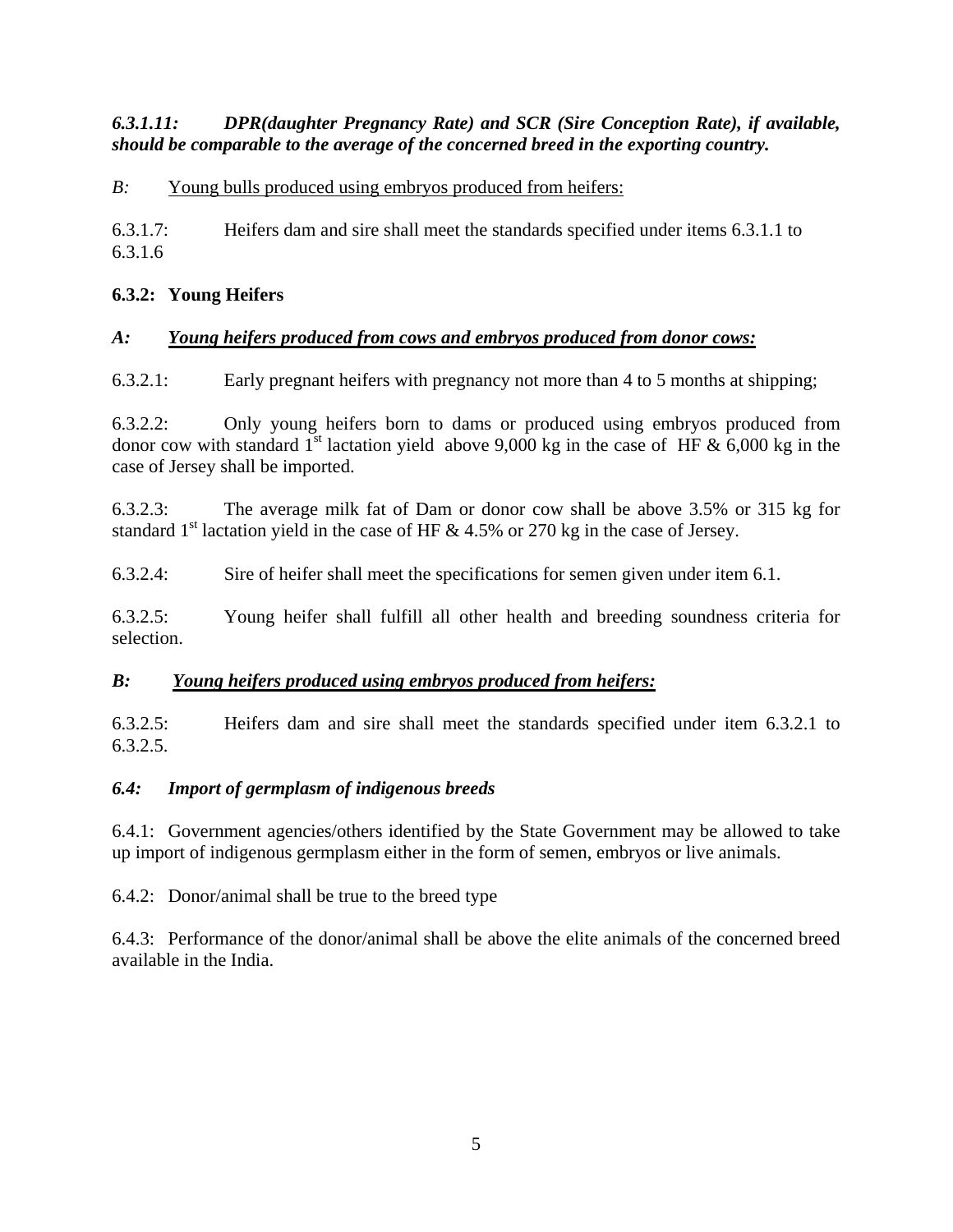## *6.3.1.11: DPR(daughter Pregnancy Rate) and SCR (Sire Conception Rate), if available, should be comparable to the average of the concerned breed in the exporting country.*

*B*: Young bulls produced using embryos produced from heifers:

6.3.1.7: Heifers dam and sire shall meet the standards specified under items 6.3.1.1 to 6.3.1.6

# **6.3.2: Young Heifers**

## *A: Young heifers produced from cows and embryos produced from donor cows:*

6.3.2.1: Early pregnant heifers with pregnancy not more than 4 to 5 months at shipping;

6.3.2.2: Only young heifers born to dams or produced using embryos produced from donor cow with standard 1<sup>st</sup> lactation yield above 9,000 kg in the case of HF  $\&$  6,000 kg in the case of Jersey shall be imported.

6.3.2.3: The average milk fat of Dam or donor cow shall be above 3.5% or 315 kg for standard  $1<sup>st</sup>$  lactation yield in the case of HF & 4.5% or 270 kg in the case of Jersey.

6.3.2.4: Sire of heifer shall meet the specifications for semen given under item 6.1.

6.3.2.5: Young heifer shall fulfill all other health and breeding soundness criteria for selection.

## *B: Young heifers produced using embryos produced from heifers:*

6.3.2.5: Heifers dam and sire shall meet the standards specified under item 6.3.2.1 to 6.3.2.5.

## *6.4: Import of germplasm of indigenous breeds*

6.4.1: Government agencies/others identified by the State Government may be allowed to take up import of indigenous germplasm either in the form of semen, embryos or live animals.

6.4.2: Donor/animal shall be true to the breed type

6.4.3: Performance of the donor/animal shall be above the elite animals of the concerned breed available in the India.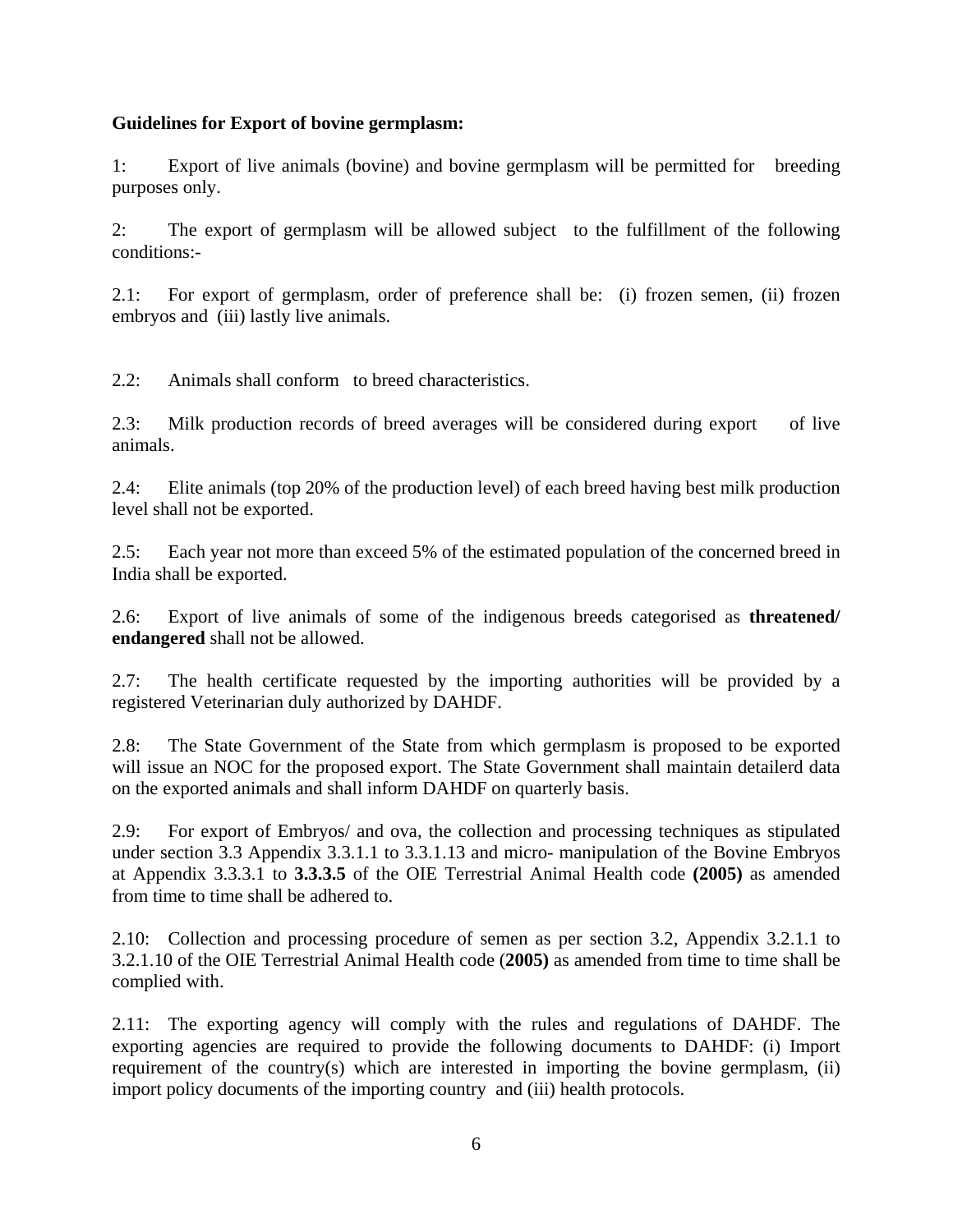#### **Guidelines for Export of bovine germplasm:**

1: Export of live animals (bovine) and bovine germplasm will be permitted for breeding purposes only.

2: The export of germplasm will be allowed subject to the fulfillment of the following conditions:-

2.1: For export of germplasm, order of preference shall be: (i) frozen semen, (ii) frozen embryos and (iii) lastly live animals.

2.2: Animals shall conform to breed characteristics.

2.3: Milk production records of breed averages will be considered during export of live animals.

2.4: Elite animals (top 20% of the production level) of each breed having best milk production level shall not be exported.

2.5: Each year not more than exceed 5% of the estimated population of the concerned breed in India shall be exported.

2.6: Export of live animals of some of the indigenous breeds categorised as **threatened/ endangered** shall not be allowed.

2.7: The health certificate requested by the importing authorities will be provided by a registered Veterinarian duly authorized by DAHDF.

2.8: The State Government of the State from which germplasm is proposed to be exported will issue an NOC for the proposed export. The State Government shall maintain detailerd data on the exported animals and shall inform DAHDF on quarterly basis.

2.9: For export of Embryos/ and ova, the collection and processing techniques as stipulated under section 3.3 Appendix 3.3.1.1 to 3.3.1.13 and micro- manipulation of the Bovine Embryos at Appendix 3.3.3.1 to **3.3.3.5** of the OIE Terrestrial Animal Health code **(2005)** as amended from time to time shall be adhered to.

2.10: Collection and processing procedure of semen as per section 3.2, Appendix 3.2.1.1 to 3.2.1.10 of the OIE Terrestrial Animal Health code (**2005)** as amended from time to time shall be complied with.

2.11: The exporting agency will comply with the rules and regulations of DAHDF. The exporting agencies are required to provide the following documents to DAHDF: (i) Import requirement of the country(s) which are interested in importing the bovine germplasm, (ii) import policy documents of the importing country and (iii) health protocols.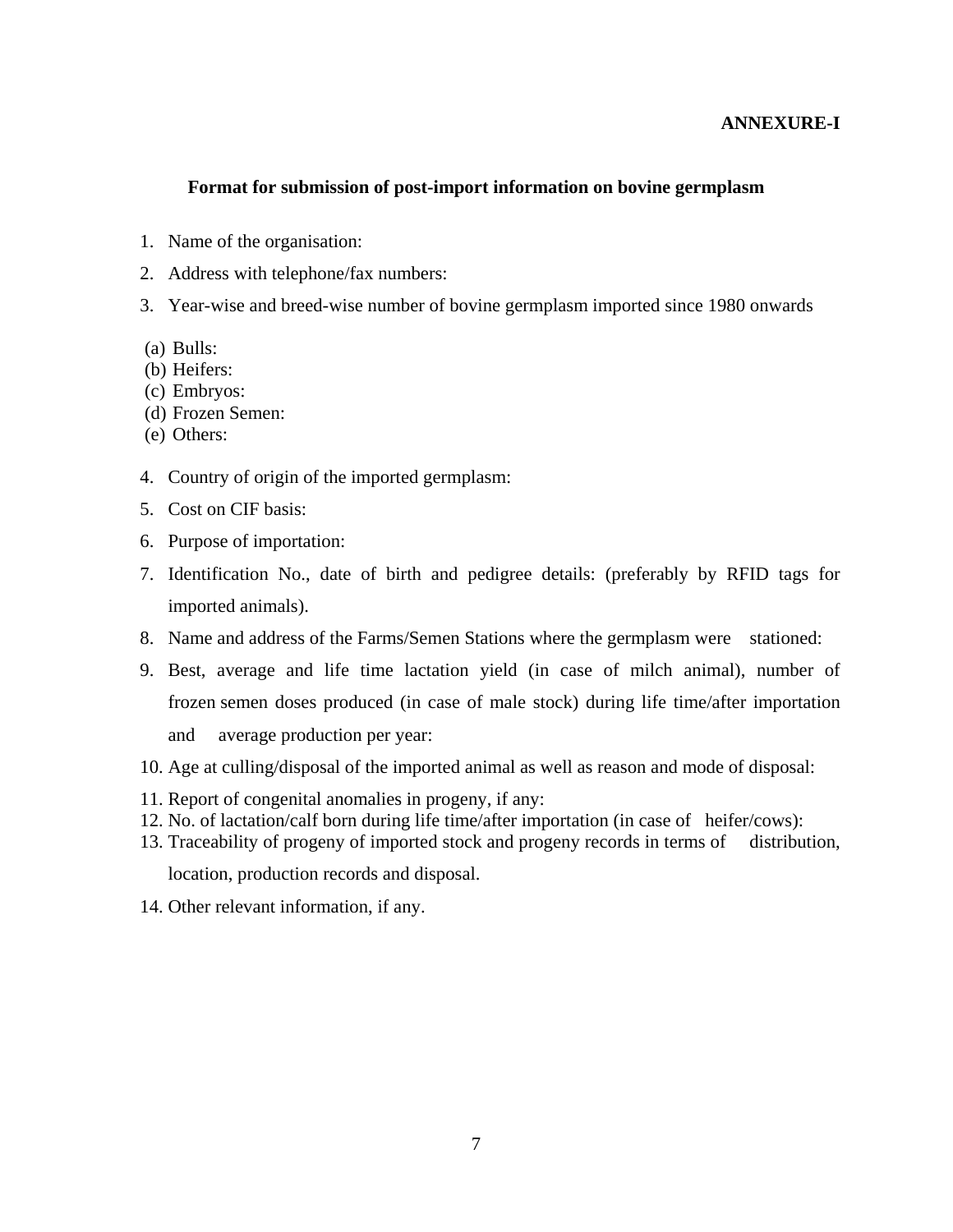#### **ANNEXURE-I**

#### **Format for submission of post-import information on bovine germplasm**

- 1. Name of the organisation:
- 2. Address with telephone/fax numbers:
- 3. Year-wise and breed-wise number of bovine germplasm imported since 1980 onwards
- (a) Bulls:
- (b) Heifers:
- (c) Embryos:
- (d) Frozen Semen:
- (e) Others:
- 4. Country of origin of the imported germplasm:
- 5. Cost on CIF basis:
- 6. Purpose of importation:
- 7. Identification No., date of birth and pedigree details: (preferably by RFID tags for imported animals).
- 8. Name and address of the Farms/Semen Stations where the germplasm were stationed:
- 9. Best, average and life time lactation yield (in case of milch animal), number of frozen semen doses produced (in case of male stock) during life time/after importation and average production per year:
- 10. Age at culling/disposal of the imported animal as well as reason and mode of disposal:
- 11. Report of congenital anomalies in progeny, if any:
- 12. No. of lactation/calf born during life time/after importation (in case of heifer/cows):
- 13. Traceability of progeny of imported stock and progeny records in terms of distribution,

location, production records and disposal.

14. Other relevant information, if any.